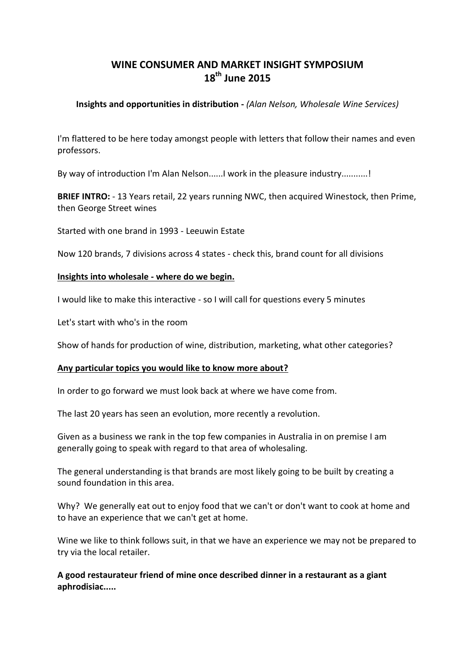# **WINE CONSUMER AND MARKET INSIGHT SYMPOSIUM 18th June 2015**

## **Insights and opportunities in distribution -** *(Alan Nelson, Wholesale Wine Services)*

I'm flattered to be here today amongst people with letters that follow their names and even professors.

By way of introduction I'm Alan Nelson......I work in the pleasure industry...........!

**BRIEF INTRO:** - 13 Years retail, 22 years running NWC, then acquired Winestock, then Prime, then George Street wines

Started with one brand in 1993 - Leeuwin Estate

Now 120 brands, 7 divisions across 4 states - check this, brand count for all divisions

## **Insights into wholesale - where do we begin.**

I would like to make this interactive - so I will call for questions every 5 minutes

Let's start with who's in the room

Show of hands for production of wine, distribution, marketing, what other categories?

#### **Any particular topics you would like to know more about?**

In order to go forward we must look back at where we have come from.

The last 20 years has seen an evolution, more recently a revolution.

Given as a business we rank in the top few companies in Australia in on premise I am generally going to speak with regard to that area of wholesaling.

The general understanding is that brands are most likely going to be built by creating a sound foundation in this area.

Why? We generally eat out to enjoy food that we can't or don't want to cook at home and to have an experience that we can't get at home.

Wine we like to think follows suit, in that we have an experience we may not be prepared to try via the local retailer.

**A good restaurateur friend of mine once described dinner in a restaurant as a giant aphrodisiac.....**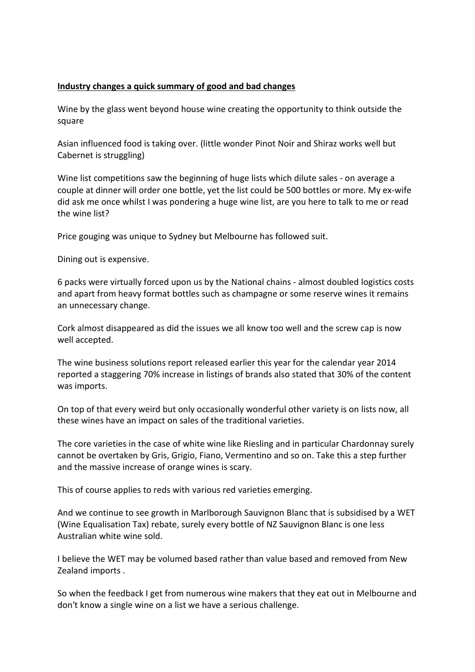# **Industry changes a quick summary of good and bad changes**

Wine by the glass went beyond house wine creating the opportunity to think outside the square

Asian influenced food is taking over. (little wonder Pinot Noir and Shiraz works well but Cabernet is struggling)

Wine list competitions saw the beginning of huge lists which dilute sales - on average a couple at dinner will order one bottle, yet the list could be 500 bottles or more. My ex-wife did ask me once whilst I was pondering a huge wine list, are you here to talk to me or read the wine list?

Price gouging was unique to Sydney but Melbourne has followed suit.

Dining out is expensive.

6 packs were virtually forced upon us by the National chains - almost doubled logistics costs and apart from heavy format bottles such as champagne or some reserve wines it remains an unnecessary change.

Cork almost disappeared as did the issues we all know too well and the screw cap is now well accepted.

The wine business solutions report released earlier this year for the calendar year 2014 reported a staggering 70% increase in listings of brands also stated that 30% of the content was imports.

On top of that every weird but only occasionally wonderful other variety is on lists now, all these wines have an impact on sales of the traditional varieties.

The core varieties in the case of white wine like Riesling and in particular Chardonnay surely cannot be overtaken by Gris, Grigio, Fiano, Vermentino and so on. Take this a step further and the massive increase of orange wines is scary.

This of course applies to reds with various red varieties emerging.

And we continue to see growth in Marlborough Sauvignon Blanc that is subsidised by a WET (Wine Equalisation Tax) rebate, surely every bottle of NZ Sauvignon Blanc is one less Australian white wine sold.

I believe the WET may be volumed based rather than value based and removed from New Zealand imports .

So when the feedback I get from numerous wine makers that they eat out in Melbourne and don't know a single wine on a list we have a serious challenge.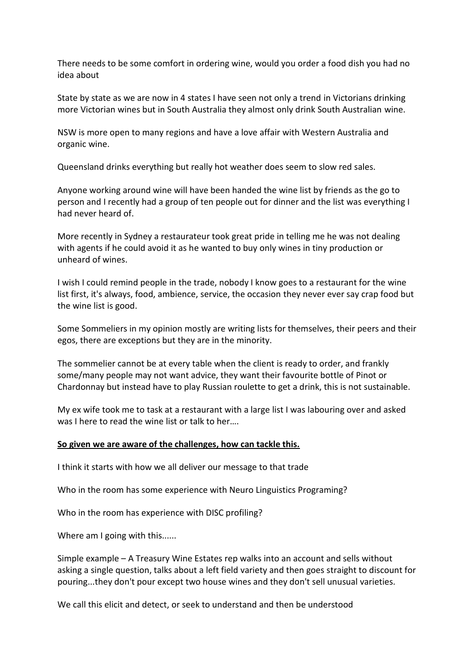There needs to be some comfort in ordering wine, would you order a food dish you had no idea about

State by state as we are now in 4 states I have seen not only a trend in Victorians drinking more Victorian wines but in South Australia they almost only drink South Australian wine.

NSW is more open to many regions and have a love affair with Western Australia and organic wine.

Queensland drinks everything but really hot weather does seem to slow red sales.

Anyone working around wine will have been handed the wine list by friends as the go to person and I recently had a group of ten people out for dinner and the list was everything I had never heard of.

More recently in Sydney a restaurateur took great pride in telling me he was not dealing with agents if he could avoid it as he wanted to buy only wines in tiny production or unheard of wines.

I wish I could remind people in the trade, nobody I know goes to a restaurant for the wine list first, it's always, food, ambience, service, the occasion they never ever say crap food but the wine list is good.

Some Sommeliers in my opinion mostly are writing lists for themselves, their peers and their egos, there are exceptions but they are in the minority.

The sommelier cannot be at every table when the client is ready to order, and frankly some/many people may not want advice, they want their favourite bottle of Pinot or Chardonnay but instead have to play Russian roulette to get a drink, this is not sustainable.

My ex wife took me to task at a restaurant with a large list I was labouring over and asked was I here to read the wine list or talk to her….

#### **So given we are aware of the challenges, how can tackle this.**

I think it starts with how we all deliver our message to that trade

Who in the room has some experience with Neuro Linguistics Programing?

Who in the room has experience with DISC profiling?

Where am I going with this......

Simple example – A Treasury Wine Estates rep walks into an account and sells without asking a single question, talks about a left field variety and then goes straight to discount for pouring...they don't pour except two house wines and they don't sell unusual varieties.

We call this elicit and detect, or seek to understand and then be understood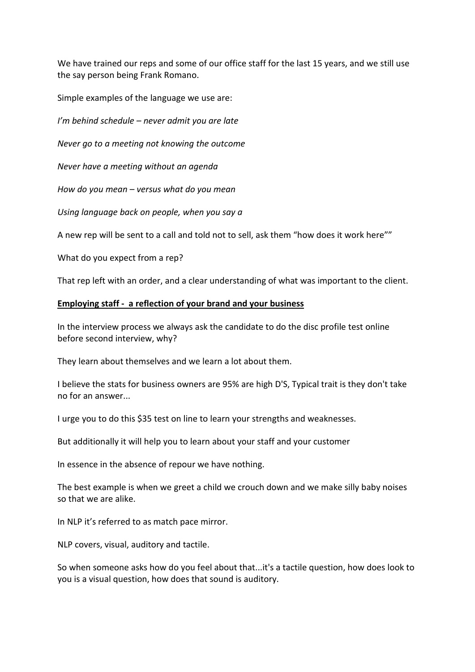We have trained our reps and some of our office staff for the last 15 years, and we still use the say person being Frank Romano.

Simple examples of the language we use are:

*I'm behind schedule – never admit you are late*

*Never go to a meeting not knowing the outcome*

*Never have a meeting without an agenda*

*How do you mean – versus what do you mean*

*Using language back on people, when you say a* 

A new rep will be sent to a call and told not to sell, ask them "how does it work here""

What do you expect from a rep?

That rep left with an order, and a clear understanding of what was important to the client.

#### **Employing staff - a reflection of your brand and your business**

In the interview process we always ask the candidate to do the disc profile test online before second interview, why?

They learn about themselves and we learn a lot about them.

I believe the stats for business owners are 95% are high D'S, Typical trait is they don't take no for an answer...

I urge you to do this \$35 test on line to learn your strengths and weaknesses.

But additionally it will help you to learn about your staff and your customer

In essence in the absence of repour we have nothing.

The best example is when we greet a child we crouch down and we make silly baby noises so that we are alike.

In NLP it's referred to as match pace mirror.

NLP covers, visual, auditory and tactile.

So when someone asks how do you feel about that...it's a tactile question, how does look to you is a visual question, how does that sound is auditory.